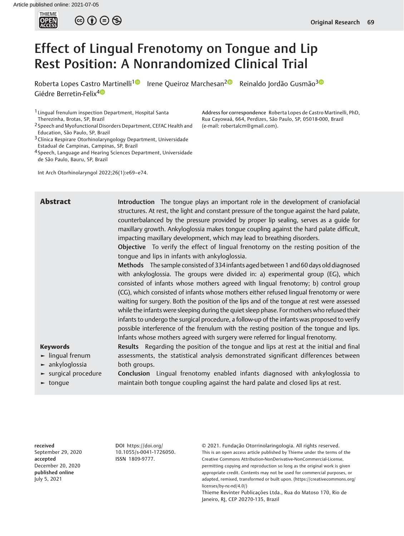$\circledcirc$   $\oplus$   $\circledcirc$ 

# Effect of Lingual Frenotomy on Tongue and Lip Rest Position: A Nonrandomized Clinical Trial

Roberta Lopes Castro Martinelli<sup>[1](https://orcid.org/0000-0002-5791-2575)0</sup> Irene Queiroz Marchesan<sup>[2](https://orcid.org/0000-0001-6483-7457)0</sup> Reinaldo Jordão Gusmão<sup>30</sup> Giédre Berretin-Felix<sup>4</sup>

1 Lingual frenulum inspection Department, Hospital Santa Therezinha, Brotas, SP, Brazil

- 2 Speech and Myofunctional Disorders Department, CEFAC Health and Education, São Paulo, SP, Brazil
- 3Clínica Respirare Otorhinolaryngology Department, Universidade Estadual de Campinas, Campinas, SP, Brazil

4 Speech, Language and Hearing Sciences Department, Universidade de São Paulo, Bauru, SP, Brazil

Int Arch Otorhinolaryngol 2022;26(1):e69–e74.

Address for correspondence Roberta Lopes de Castro Martinelli, PhD, Rua Cayowaá, 664, Perdizes, São Paulo, SP, 05018-000, Brazil (e-mail: [robertalcm@gmail.com\)](mailto:robertalcm@gmail.com).

**Abstract** Introduction The tongue plays an important role in the development of craniofacial structures. At rest, the light and constant pressure of the tongue against the hard palate, counterbalanced by the pressure provided by proper lip sealing, serves as a guide for maxillary growth. Ankyloglossia makes tongue coupling against the hard palate difficult, impacting maxillary development, which may lead to breathing disorders.

> Objective To verify the effect of lingual frenotomy on the resting position of the tongue and lips in infants with ankyloglossia.

> Methods The sample consisted of 334 infants aged between 1 and 60 days old diagnosed with ankyloglossia. The groups were divided in: a) experimental group (EG), which consisted of infants whose mothers agreed with lingual frenotomy; b) control group (CG), which consisted of infants whose mothers either refused lingual frenotomy or were waiting for surgery. Both the position of the lips and of the tongue at rest were assessed while the infants were sleeping during the quiet sleep phase. For mothers who refused their infants to undergo the surgical procedure, a follow-up of the infants was proposed to verify possible interference of the frenulum with the resting position of the tongue and lips. Infants whose mothers agreed with surgery were referred for lingual frenotomy.

#### Keywords

► lingual frenum

Results Regarding the position of the tongue and lips at rest at the initial and final assessments, the statistical analysis demonstrated significant differences between both groups.

- ► ankyloglossia
- 

► surgical procedure ► tongue Conclusion Lingual frenotomy enabled infants diagnosed with ankyloglossia to maintain both tongue coupling against the hard palate and closed lips at rest.

received September 29, 2020 accepted December 20, 2020 published online July 5, 2021

DOI [https://doi.org/](https://doi.org/10.1055/s-0041-1726050) [10.1055/s-0041-1726050](https://doi.org/10.1055/s-0041-1726050). ISSN 1809-9777.

© 2021. Fundação Otorrinolaringologia. All rights reserved. This is an open access article published by Thieme under the terms of the Creative Commons Attribution-NonDerivative-NonCommercial-License, permitting copying and reproduction so long as the original work is given appropriate credit. Contents may not be used for commercial purposes, or adapted, remixed, transformed or built upon. (https://creativecommons.org/ licenses/by-nc-nd/4.0/)

Thieme Revinter Publicações Ltda., Rua do Matoso 170, Rio de Janeiro, RJ, CEP 20270-135, Brazil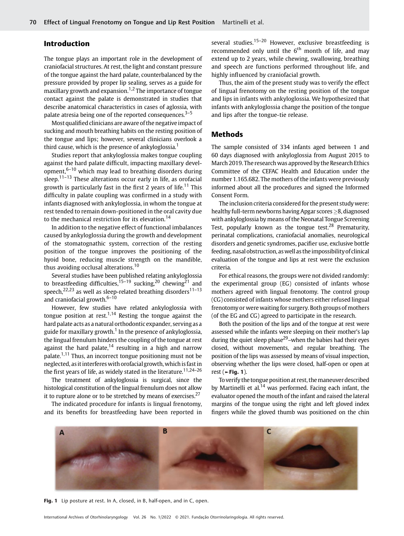# Introduction

The tongue plays an important role in the development of craniofacial structures. At rest, the light and constant pressure of the tongue against the hard palate, counterbalanced by the pressure provided by proper lip sealing, serves as a guide for maxillary growth and expansion.<sup>1,2</sup> The importance of tongue contact against the palate is demonstrated in studies that describe anatomical characteristics in cases of aglossia, with palate atresia being one of the reported consequences. $3-5$ 

Most qualified clinicians are aware of the negative impact of sucking and mouth breathing habits on the resting position of the tongue and lips; however, several clinicians overlook a third cause, which is the presence of ankyloglossia.<sup>1</sup>

Studies report that ankyloglossia makes tongue coupling against the hard palate difficult, impacting maxillary development, $6-10$  which may lead to breathing disorders during sleep.<sup>11–13</sup> These alterations occur early in life, as orofacial growth is particularly fast in the first 2 years of life.<sup>11</sup> This difficulty in palate coupling was confirmed in a study with infants diagnosed with ankyloglossia, in whom the tongue at rest tended to remain down-positioned in the oral cavity due to the mechanical restriction for its elevation.<sup>14</sup>

In addition to the negative effect of functional imbalances caused by ankyloglossia during the growth and development of the stomatognathic system, correction of the resting position of the tongue improves the positioning of the hyoid bone, reducing muscle strength on the mandible, thus avoiding occlusal alterations.<sup>10</sup>

Several studies have been published relating ankyloglossia to breastfeeding difficulties,<sup>15–19</sup> sucking,<sup>20</sup> chewing<sup>21</sup> and speech,<sup>22,23</sup> as well as sleep-related breathing disorders<sup>11-13</sup> and craniofacial growth. $6-10$ 

However, few studies have related ankyloglossia with tongue position at rest.<sup>1,14</sup> Resting the tongue against the hard palate acts as a natural orthodontic expander, serving as a guide for maxillary growth.<sup>1</sup> In the presence of ankyloglossia, the lingual frenulum hinders the coupling of the tongue at rest against the hard palate, $14$  resulting in a high and narrow palate.1,11 Thus, an incorrect tongue positioning must not be neglected, asit interferes with orofacial growth, whichis fastin the first years of life, as widely stated in the literature.<sup>11,24–26</sup>

The treatment of ankyloglossia is surgical, since the histological constitution of the lingual frenulum does not allow it to rupture alone or to be stretched by means of exercises. $27$ 

The indicated procedure for infants is lingual frenotomy, and its benefits for breastfeeding have been reported in several studies.<sup>15-20</sup> However, exclusive breastfeeding is recommended only until the  $6<sup>th</sup>$  month of life, and may extend up to 2 years, while chewing, swallowing, breathing and speech are functions performed throughout life, and highly influenced by craniofacial growth.

Thus, the aim of the present study was to verify the effect of lingual frenotomy on the resting position of the tongue and lips in infants with ankyloglossia. We hypothesized that infants with ankyloglossia change the position of the tongue and lips after the tongue-tie release.

### Methods

The sample consisted of 334 infants aged between 1 and 60 days diagnosed with ankyloglossia from August 2015 to March 2019. The research was approved by the Research Ethics Committee of the CEFAC Health and Education under the number 1.165.682. The mothers of the infants were previously informed about all the procedures and signed the Informed Consent Form.

The inclusion criteria considered for the present study were: healthy full-term newborns having Apgar scores  $\geq$ 8, diagnosed with ankyloglossia by means of the Neonatal Tongue Screening Test, popularly known as the tongue test.<sup>28</sup> Prematurity, perinatal complications, craniofacial anomalies, neurological disorders and genetic syndromes, pacifier use, exclusive bottle feeding, nasal obstruction, as well as the impossibility of clinical evaluation of the tongue and lips at rest were the exclusion criteria.

For ethical reasons, the groups were not divided randomly: the experimental group (EG) consisted of infants whose mothers agreed with lingual frenotomy. The control group (CG) consisted of infants whose mothers either refused lingual frenotomy or were waiting for surgery. Both groups of mothers (of the EG and CG) agreed to participate in the research.

Both the position of the lips and of the tongue at rest were assessed while the infants were sleeping on their mother's lap during the quiet sleep phase<sup>29</sup>-when the babies had their eyes closed, without movements, and regular breathing. The position of the lips was assessed by means of visual inspection, observing whether the lips were closed, half-open or open at rest ( $\blacktriangleright$ Fig. 1).

To verify the tongue position at rest, the maneuver described by Martinelli et al.<sup>14</sup> was performed. Facing each infant, the evaluator opened the mouth of the infant and raised the lateral margins of the tongue using the right and left gloved index fingers while the gloved thumb was positioned on the chin



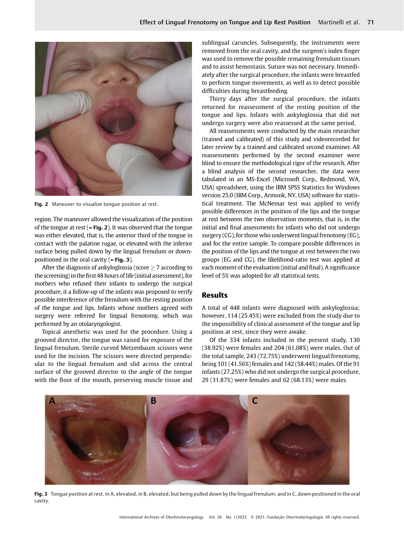

Fig. 2 Maneuver to visualize tongue position at rest.

region. The maneuver allowed the visualization of the position of the tongue at rest ( $\blacktriangleright$  Fig. 2). It was observed that the tongue was either elevated, that is, the anterior third of the tongue in contact with the palatine rugae, or elevated with the inferior surface being pulled down by the lingual frenulum or downpositioned in the oral cavity (►Fig. 3).

After the diagnosis of ankyloglossia (score  $\geq$  7 according to the screening)in thefirst 48 hours of life (initial assessment), for mothers who refused their infants to undergo the surgical procedure, it a follow-up of the infants was proposed to verify possible interference of the frenulum with the resting position of the tongue and lips. Infants whose mothers agreed with surgery were referred for lingual frenotomy, which was performed by an otolaryngologist.

Topical anesthetic was used for the procedure. Using a grooved director, the tongue was raised for exposure of the lingual frenulum. Sterile curved Metzenbaum scissors were used for the incision. The scissors were directed perpendicular to the lingual frenulum and slid across the central surface of the grooved director to the angle of the tongue with the floor of the mouth, preserving muscle tissue and sublingual caruncles. Subsequently, the instruments were removed from the oral cavity, and the surgeon's index finger was used to remove the possible remaining frenulum tissues and to assist hemostasis. Suture was not necessary. Immediately after the surgical procedure, the infants were breastfed to perform tongue movements, as well as to detect possible difficulties during breastfeeding.

Thirty days after the surgical procedure, the infants returned for reassessment of the resting position of the tongue and lips. Infants with ankyloglossia that did not undergo surgery were also reassessed at the same period.

All reassessments were conducted by the main researcher (trained and calibrated) of this study and videorecorded for later review by a trained and calibrated second examiner. All reassessments performed by the second examiner were blind to ensure the methodological rigor of the research. After a blind analysis of the second researcher, the data were tabulated in an MS-Excel (Microsoft Corp., Redmond, WA, USA) spreadsheet, using the IBM SPSS Statistics for Windows version 25.0 (IBM Corp., Armonk, NY, USA) software for statistical treatment. The McNemar test was applied to verify possible differences in the position of the lips and the tongue at rest between the two observation moments, that is, in the initial and final assessments for infants who did not undergo surgery (CG), for those who underwent lingual frenotomy (EG), and for the entire sample. To compare possible differences in the position of the lips and the tongue at rest between the two groups (EG and CG), the likelihood-ratio test was applied at each moment of the evaluation (initial and final). A significance level of 5% was adopted for all statistical tests.

### Results

A total of 448 infants were diagnosed with ankyloglossia; however, 114 (25.45%) were excluded from the study due to the impossibility of clinical assessment of the tongue and lip position at rest, since they were awake.

Of the 334 infants included in the present study, 130 (38.92%) were females and 204 (61.08%) were males. Out of the total sample, 243 (72.75%) underwent lingual frenotomy, being 101 (41.56%) females and 142 (58.44%) males. Of the 91 infants (27.25%) who did not undergo the surgical procedure, 29 (31.87%) were females and 62 (68.13%) were males.



Fig. 3 Tongue position at rest. In A, elevated, in B, elevated, but being pulled down by the lingual frenulum, and in C, down-positioned in the oral cavity.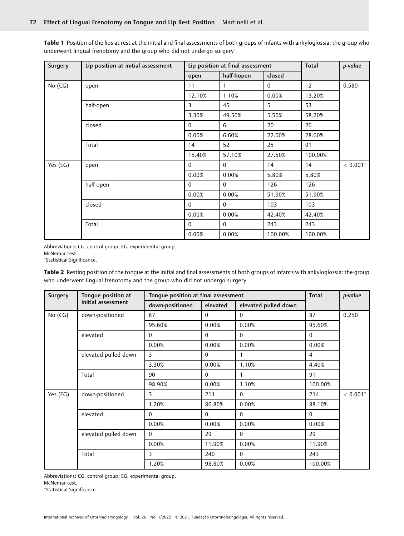Surgery | Lip position at initial assessment | Lip position at final assessment | Total | p-value open | half-hopen | closed No (CG) | open | 11 | 1 | 0 | 12 | 0.580 12.10% 1.10% 0.00% 13.20% half-open 3 45 5 53 3.30% 49.50% 5.50% 58.20% closed 0 6 20 26 0.00% 6.60% 22.00% 28.60% 14 152 | 25 | 91 | 32 15.40% 57.10% 27.50% 100.00% Yes (EG) open 0 0 14 14 < 0.001 0.00% 0.00% 5.80% 5.80% half-open 0 0 126 126 0.00% 0.00% 51.90% 51.90% closed 0 0 103 103  $0.00\%$  0.00% 42.40% 42.40% Total 0 0 243 243 0.00% 0.00% 100.00% 100.00%

Table 1 Position of the lips at rest at the initial and final assessments of both groups of infants with ankyloglossia: the group who underwent lingual frenotomy and the group who did not undergo surgery

Abbreviations: CG, control group; EG, experimental group.

McNemar test.

Statistical Significance.

Table 2 Resting position of the tongue at the initial and final assessments of both groups of infants with ankyloglossia: the group who underwent lingual frenotomy and the group who did not undergo surgery

| Surgery  | Tongue position at<br>initial assessment | Tongue position at final assessment | <b>Total</b> | p-value              |          |             |  |
|----------|------------------------------------------|-------------------------------------|--------------|----------------------|----------|-------------|--|
|          |                                          | down-positioned                     | elevated     | elevated pulled down |          |             |  |
| No (CG)  | down-positioned                          | 87                                  | $\Omega$     | $\Omega$             | 87       | 0,250       |  |
|          |                                          | 95.60%                              | 0.00%        | 0.00%                | 95.60%   |             |  |
|          | elevated                                 | $\Omega$                            | $\Omega$     | $\Omega$             | $\Omega$ |             |  |
|          |                                          | 0.00%                               | 0.00%        | 0.00%                | 0.00%    |             |  |
|          | elevated pulled down                     | 3                                   | $\Omega$     | 1                    | 4        |             |  |
|          |                                          | 3.30%                               | 0.00%        | 1.10%                | 4.40%    |             |  |
|          | Total                                    | 90                                  | $\Omega$     |                      | 91       |             |  |
|          |                                          | 98.90%                              | 0.00%        | 1.10%                | 100.00%  |             |  |
| Yes (EG) | down-positioned                          | 3                                   | 211          | $\mathbf{0}$         | 214      | $< 0.001^*$ |  |
|          |                                          | 1.20%                               | 86.80%       | 0.00%                | 88.10%   |             |  |
|          | elevated                                 | $\Omega$                            | $\theta$     | $\Omega$             | $\Omega$ |             |  |
|          |                                          | 0.00%                               | 0.00%        | 0.00%                | 0.00%    |             |  |
|          | elevated pulled down                     | $\Omega$                            | 29           | $\Omega$             | 29       |             |  |
|          |                                          | 0.00%                               | 11.90%       | 0.00%                | 11.90%   |             |  |
|          | Total                                    | 3                                   | 240          | $\Omega$             | 243      |             |  |
|          |                                          | 1.20%                               | 98.80%       | 0.00%                | 100.00%  |             |  |

Abbreviations: CG, control group; EG, experimental group.

McNemar test.

Statistical Significance.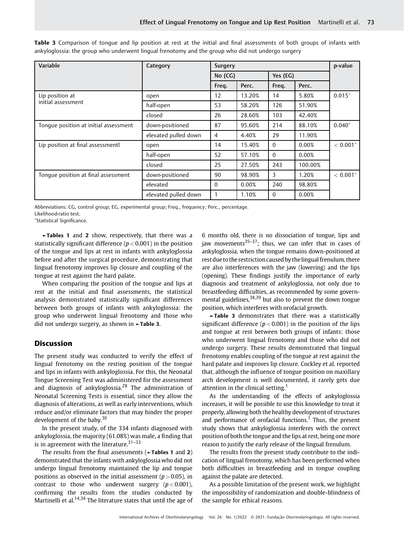| Variable                              | Category             | Surgery  | p-value |          |         |                        |
|---------------------------------------|----------------------|----------|---------|----------|---------|------------------------|
|                                       |                      | No (CG)  |         | Yes (EG) |         |                        |
|                                       |                      | Freq.    | Perc.   | Freq.    | Perc.   |                        |
| Lip position at                       | open                 | 12       | 13.20%  | 14       | 5.80%   | $0.015*$               |
| initial assessment                    | half-open            | 53       | 58.20%  | 126      | 51.90%  |                        |
|                                       | closed               | 26       | 28.60%  | 103      | 42.40%  |                        |
| Tonque position at initial assessment | down-positioned      | 87       | 95.60%  | 214      | 88.10%  | $0.040*$               |
|                                       | elevated pulled down | 4        | 4.40%   | 29       | 11.90%  |                        |
| Lip position at final assessmentl     | open                 | 14       | 15.40%  | $\theta$ | 0.00%   | $< 0.001$ <sup>*</sup> |
|                                       | half-open            | 52       | 57.10%  | $\Omega$ | 0.00%   |                        |
|                                       | closed               | 25       | 27.50%  | 243      | 100.00% |                        |
| Tonque position at final assessment   | down-positioned      | 90       | 98.90%  | 3        | 1.20%   | $< 0.001$ <sup>*</sup> |
|                                       | elevated             | $\Omega$ | 0.00%   | 240      | 98.80%  |                        |
|                                       | elevated pulled down |          | 1.10%   | $\Omega$ | 0.00%   |                        |

Table 3 Comparison of tonque and lip position at rest at the initial and final assessments of both groups of infants with ankyloglossia: the group who underwent lingual frenotomy and the group who did not undergo surgery

Abbreviations: CG, control group; EG, experimental group; Freq., frequency; Perc., percentage. Likelihood-ratio test.

Statistical Significance.

►Tables 1 and 2 show, respectively, that there was a statistically significant difference ( $p < 0.001$ ) in the position of the tongue and lips at rest in infants with ankyloglossia before and after the surgical procedure, demonstrating that lingual frenotomy improves lip closure and coupling of the tongue at rest against the hard palate.

When comparing the position of the tongue and lips at rest at the initial and final assessments, the statistical analysis demonstrated statistically significant differences between both groups of infants with ankyloglossia: the group who underwent lingual frenotomy and those who did not undergo surgery, as shown in ►Table 3.

# **Discussion**

The present study was conducted to verify the effect of lingual frenotomy on the resting position of the tongue and lips in infants with ankyloglossia. For this, the Neonatal Tongue Screening Test was administered for the assessment and diagnosis of ankyloglossia.<sup>28</sup> The administration of Neonatal Screening Tests is essential, since they allow the diagnosis of alterations, as well as early interventions, which reduce and/or eliminate factors that may hinder the proper development of the baby. $30$ 

In the present study, of the 334 infants diagnosed with ankyloglossia, the majority (61.08%) was male, a finding that is in agreement with the literature. $31-33$ 

The results from the final assessments (►Tables 1 and 2) demonstrated that the infants with ankyloglossia who did not undergo lingual frenotomy maintained the lip and tongue positions as observed in the initial assessment ( $p > 0.05$ ), in contrast to those who underwent surgery  $(p < 0.001)$ , confirming the results from the studies conducted by Martinelli et al.<sup>14,34</sup> The literature states that until the age of 6 months old, there is no dissociation of tongue, lips and jaw movements $35-37$ ; thus, we can infer that in cases of ankyloglossia, when the tongue remains down-positioned at rest due to the restriction caused by the lingual frenulum, there are also interferences with the jaw (lowering) and the lips (opening). These findings justify the importance of early diagnosis and treatment of ankyloglossia, not only due to breastfeeding difficulties, as recommended by some governmental guidelines,<sup>38,39</sup> but also to prevent the down tongue position, which interferes with orofacial growth.

►Table 3 demonstrates that there was a statistically significant difference ( $p < 0.001$ ) in the position of the lips and tongue at rest between both groups of infants: those who underwent lingual frenotomy and those who did not undergo surgery. These results demonstrated that lingual frenotomy enables coupling of the tongue at rest against the hard palate and improves lip closure. Cockley et al. reported that, although the influence of tongue position on maxillary arch development is well documented, it rarely gets due attention in the clinical setting.<sup>1</sup>

As the understanding of the effects of ankyloglossia increases, it will be possible to use this knowledge to treat it properly, allowing both the healthy development of structures and performance of orofacial functions.<sup>1</sup> Thus, the present study shows that ankyloglossia interferes with the correct position of both the tongue and the lips at rest, being one more reason to justify the early release of the lingual frenulum.

The results from the present study contribute to the indication of lingual frenotomy, which has been performed when both difficulties in breastfeeding and in tongue coupling against the palate are detected.

As a possible limitation of the present work, we highlight the impossibility of randomization and double-blindness of the sample for ethical reasons.